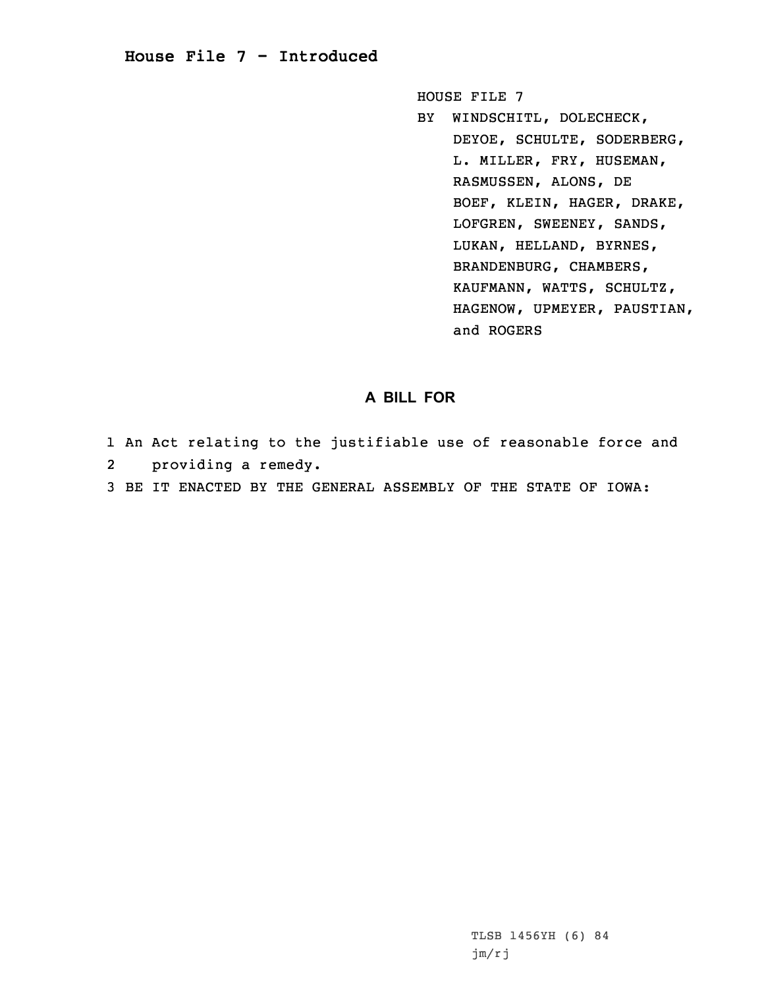## **House File 7 - Introduced**

HOUSE FILE 7

BY WINDSCHITL, DOLECHECK, DEYOE, SCHULTE, SODERBERG, L. MILLER, FRY, HUSEMAN, RASMUSSEN, ALONS, DE BOEF, KLEIN, HAGER, DRAKE, LOFGREN, SWEENEY, SANDS, LUKAN, HELLAND, BYRNES, BRANDENBURG, CHAMBERS, KAUFMANN, WATTS, SCHULTZ, HAGENOW, UPMEYER, PAUSTIAN, and ROGERS

## **A BILL FOR**

- 1 An Act relating to the justifiable use of reasonable force and 2providing <sup>a</sup> remedy.
- 3 BE IT ENACTED BY THE GENERAL ASSEMBLY OF THE STATE OF IOWA:

TLSB 1456YH (6) 84 jm/rj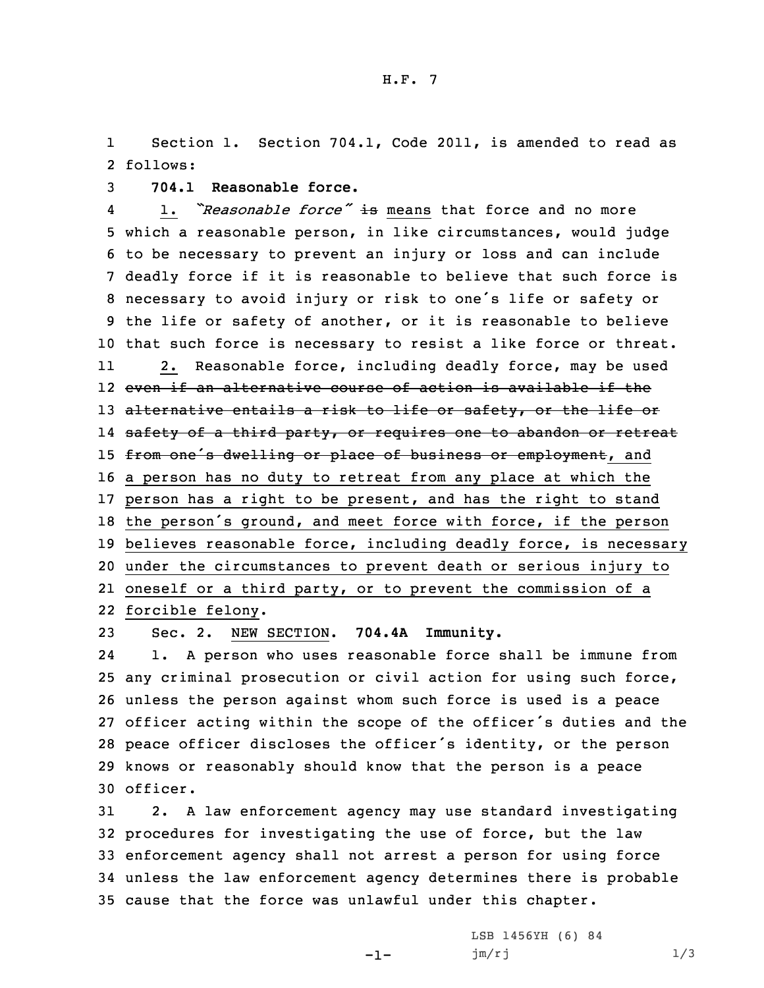1 Section 1. Section 704.1, Code 2011, is amended to read as 2 follows:

3 **704.1 Reasonable force.**

4 1. *"Reasonable force"* is means that force and no more which <sup>a</sup> reasonable person, in like circumstances, would judge to be necessary to prevent an injury or loss and can include deadly force if it is reasonable to believe that such force is necessary to avoid injury or risk to one's life or safety or the life or safety of another, or it is reasonable to believe that such force is necessary to resist <sup>a</sup> like force or threat. 11 2. Reasonable force, including deadly force, may be used even if an alternative course of action is available if the 13 alternative entails a risk to life or safety, or the life or l4 <del>safety of a third party, or requires one to abandon or retreat</del> 15 from one's dwelling or place of business or employment, and <sup>a</sup> person has no duty to retreat from any place at which the person has <sup>a</sup> right to be present, and has the right to stand the person's ground, and meet force with force, if the person believes reasonable force, including deadly force, is necessary under the circumstances to prevent death or serious injury to oneself or <sup>a</sup> third party, or to prevent the commission of <sup>a</sup> forcible felony.

23 Sec. 2. NEW SECTION. **704.4A Immunity.**

24 1. <sup>A</sup> person who uses reasonable force shall be immune from any criminal prosecution or civil action for using such force, unless the person against whom such force is used is <sup>a</sup> peace officer acting within the scope of the officer's duties and the peace officer discloses the officer's identity, or the person knows or reasonably should know that the person is <sup>a</sup> peace 30 officer.

 2. <sup>A</sup> law enforcement agency may use standard investigating procedures for investigating the use of force, but the law enforcement agency shall not arrest <sup>a</sup> person for using force unless the law enforcement agency determines there is probable cause that the force was unlawful under this chapter.

-1-

LSB 1456YH (6) 84 jm/rj 1/3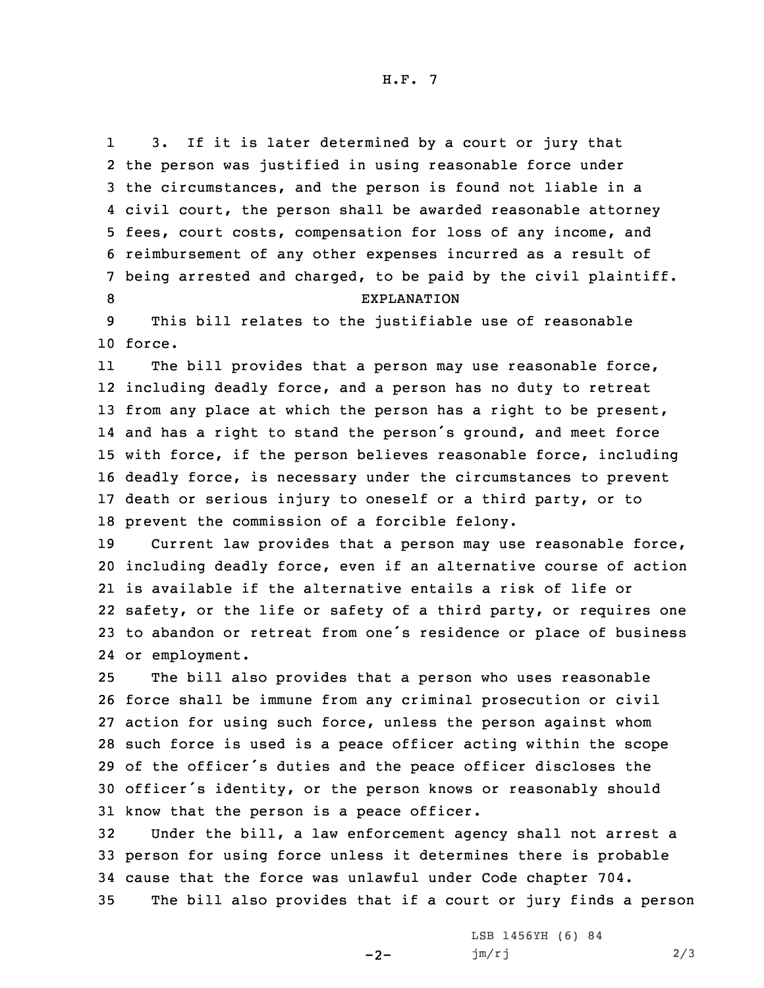H.F. 7

1 3. If it is later determined by <sup>a</sup> court or jury that the person was justified in using reasonable force under the circumstances, and the person is found not liable in <sup>a</sup> civil court, the person shall be awarded reasonable attorney fees, court costs, compensation for loss of any income, and reimbursement of any other expenses incurred as <sup>a</sup> result of being arrested and charged, to be paid by the civil plaintiff. 8 EXPLANATION This bill relates to the justifiable use of reasonable

10 force.

11The bill provides that a person may use reasonable force, including deadly force, and <sup>a</sup> person has no duty to retreat from any place at which the person has <sup>a</sup> right to be present, and has <sup>a</sup> right to stand the person's ground, and meet force with force, if the person believes reasonable force, including deadly force, is necessary under the circumstances to prevent death or serious injury to oneself or <sup>a</sup> third party, or to prevent the commission of <sup>a</sup> forcible felony.

 Current law provides that <sup>a</sup> person may use reasonable force, including deadly force, even if an alternative course of action is available if the alternative entails <sup>a</sup> risk of life or safety, or the life or safety of <sup>a</sup> third party, or requires one to abandon or retreat from one's residence or place of business or employment.

 The bill also provides that <sup>a</sup> person who uses reasonable force shall be immune from any criminal prosecution or civil action for using such force, unless the person against whom such force is used is <sup>a</sup> peace officer acting within the scope of the officer's duties and the peace officer discloses the officer's identity, or the person knows or reasonably should know that the person is <sup>a</sup> peace officer.

32 Under the bill, <sup>a</sup> law enforcement agency shall not arrest <sup>a</sup> 33 person for using force unless it determines there is probable 34 cause that the force was unlawful under Code chapter 704.

35 The bill also provides that if <sup>a</sup> court or jury finds <sup>a</sup> person

 $-2-$ 

LSB 1456YH (6) 84 jm/rj 2/3